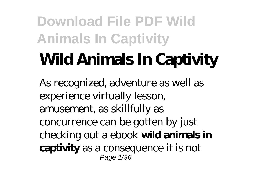# **Wild Animals In Captivity**

As recognized, adventure as well as experience virtually lesson, amusement, as skillfully as concurrence can be gotten by just checking out a ebook **wild animals in captivity** as a consequence it is not Page 1/36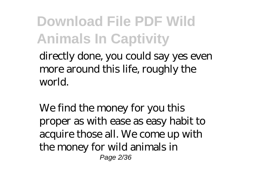directly done, you could say yes even more around this life, roughly the world.

We find the money for you this proper as with ease as easy habit to acquire those all. We come up with the money for wild animals in Page 2/36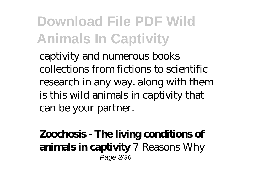captivity and numerous books collections from fictions to scientific research in any way. along with them is this wild animals in captivity that can be your partner.

#### **Zoochosis - The living conditions of animals in captivity** *7 Reasons Why* Page 3/36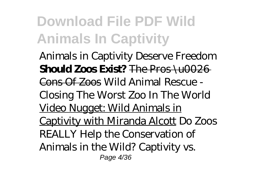*Animals in Captivity Deserve Freedom* **Should Zoos Exist?** The Pros \u0026 Cons Of Zoos Wild Animal Rescue - Closing The Worst Zoo In The World Video Nugget: Wild Animals in Captivity with Miranda Alcott *Do Zoos REALLY Help the Conservation of Animals in the Wild?* Captivity vs. Page 4/36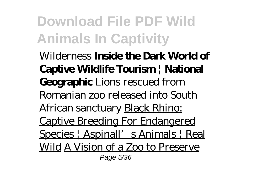Wilderness **Inside the Dark World of Captive Wildlife Tourism | National Geographic** Lions rescued from Romanian zoo released into South African sanctuary Black Rhino: Captive Breeding For Endangered Species | Aspinall' s Animals | Real Wild A Vision of a Zoo to Preserve Page 5/36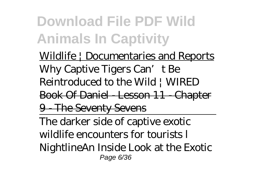Wildlife | Documentaries and Reports *Why Captive Tigers Can't Be Reintroduced to the Wild | WIRED* Book Of Daniel - Lesson 11 - Chapter 9 - The Seventy Sevens The darker side of captive exotic wildlife encounters for tourists l Nightline*An Inside Look at the Exotic* Page 6/36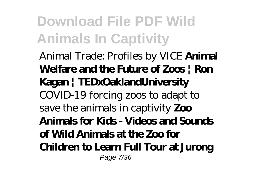#### *Animal Trade: Profiles by VICE* **Animal Welfare and the Future of Zoos | Ron Kagan | TEDxOaklandUniversity** *COVID-19 forcing zoos to adapt to save the animals in captivity* **Zoo Animals for Kids - Videos and Sounds of Wild Animals at the Zoo for Children to Learn Full Tour at Jurong** Page 7/36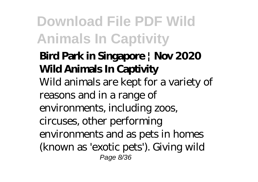#### **Bird Park in Singapore | Nov 2020 Wild Animals In Captivity**

Wild animals are kept for a variety of reasons and in a range of environments, including zoos, circuses, other performing environments and as pets in homes (known as 'exotic pets'). Giving wild Page 8/36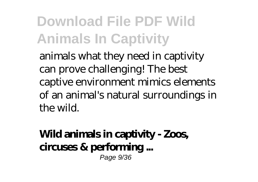animals what they need in captivity can prove challenging! The best captive environment mimics elements of an animal's natural surroundings in the wild.

#### **Wild animals in captivity - Zoos, circuses & performing ...** Page 9/36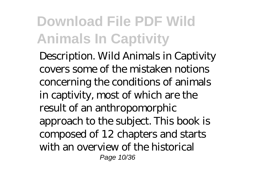Description. Wild Animals in Captivity covers some of the mistaken notions concerning the conditions of animals in captivity, most of which are the result of an anthropomorphic approach to the subject. This book is composed of 12 chapters and starts with an overview of the historical Page 10/36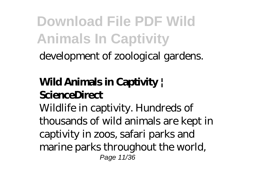development of zoological gardens.

#### **Wild Animals in Captivity | ScienceDirect**

Wildlife in captivity. Hundreds of thousands of wild animals are kept in captivity in zoos, safari parks and marine parks throughout the world, Page 11/36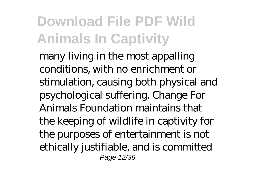many living in the most appalling conditions, with no enrichment or stimulation, causing both physical and psychological suffering. Change For Animals Foundation maintains that the keeping of wildlife in captivity for the purposes of entertainment is not ethically justifiable, and is committed Page 12/36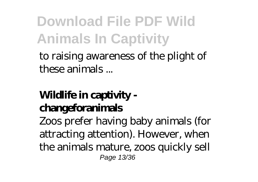to raising awareness of the plight of these animals ...

#### **Wildlife in captivity changeforanimals**

Zoos prefer having baby animals (for attracting attention). However, when the animals mature, zoos quickly sell Page 13/36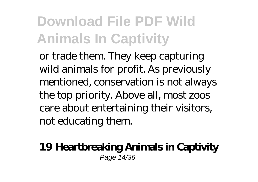or trade them. They keep capturing wild animals for profit. As previously mentioned, conservation is not always the top priority. Above all, most zoos care about entertaining their visitors, not educating them.

#### **19 Heartbreaking Animals in Captivity** Page 14/36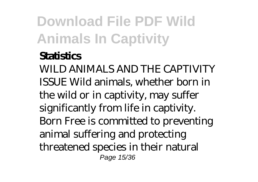#### **Statistics**

WILD ANIMALS AND THE CAPTIVITY ISSUE Wild animals, whether born in the wild or in captivity, may suffer significantly from life in captivity. Born Free is committed to preventing animal suffering and protecting threatened species in their natural Page 15/36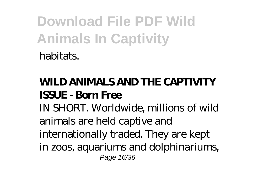#### **WILD ANIMALS AND THE CAPTIVITY ISSUE - Born Free**

IN SHORT. Worldwide, millions of wild animals are held captive and internationally traded. They are kept in zoos, aquariums and dolphinariums, Page 16/36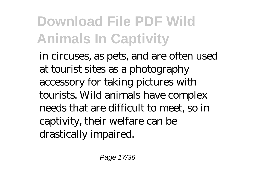in circuses, as pets, and are often used at tourist sites as a photography accessory for taking pictures with tourists. Wild animals have complex needs that are difficult to meet, so in captivity, their welfare can be drastically impaired.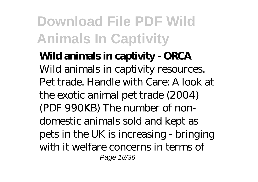**Wild animals in captivity - ORCA** Wild animals in captivity resources. Pet trade. Handle with Care: A look at the exotic animal pet trade (2004) (PDF 990KB) The number of nondomestic animals sold and kept as pets in the UK is increasing - bringing with it welfare concerns in terms of Page 18/36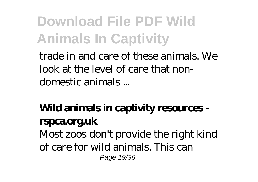trade in and care of these animals. We look at the level of care that nondomestic animals ...

#### **Wild animals in captivity resources rspca.org.uk**

Most zoos don't provide the right kind of care for wild animals. This can Page 19/36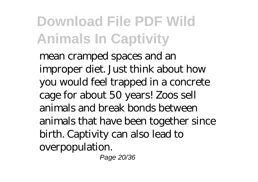mean cramped spaces and an improper diet. Just think about how you would feel trapped in a concrete cage for about 50 years! Zoos sell animals and break bonds between animals that have been together since birth. Captivity can also lead to overpopulation.

Page 20/36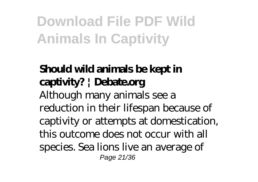#### **Should wild animals be kept in captivity? | Debate.org**

Although many animals see a reduction in their lifespan because of captivity or attempts at domestication, this outcome does not occur with all species. Sea lions live an average of Page 21/36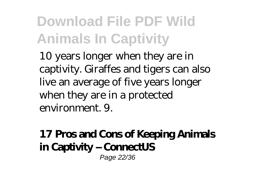10 years longer when they are in captivity. Giraffes and tigers can also live an average of five years longer when they are in a protected environment. 9.

#### **17 Pros and Cons of Keeping Animals in Captivity – ConnectUS** Page 22/36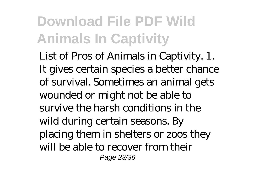List of Pros of Animals in Captivity. 1. It gives certain species a better chance of survival. Sometimes an animal gets wounded or might not be able to survive the harsh conditions in the wild during certain seasons. By placing them in shelters or zoos they will be able to recover from their Page 23/36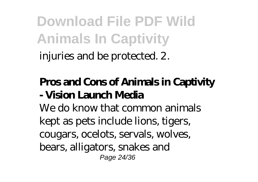injuries and be protected. 2.

#### **Pros and Cons of Animals in Captivity - Vision Launch Media**

We do know that common animals kept as pets include lions, tigers, cougars, ocelots, servals, wolves, bears, alligators, snakes and Page 24/36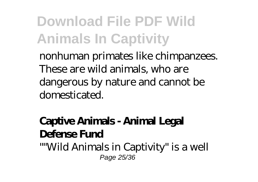nonhuman primates like chimpanzees. These are wild animals, who are dangerous by nature and cannot be domesticated.

#### **Captive Animals - Animal Legal Defense Fund**

""Wild Animals in Captivity" is a well Page 25/36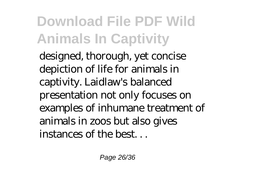designed, thorough, yet concise depiction of life for animals in captivity. Laidlaw's balanced presentation not only focuses on examples of inhumane treatment of animals in zoos but also gives instances of the best. . .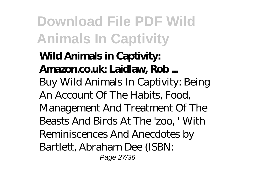#### **Wild Animals in Captivity: Amazon.co.uk: Laidlaw, Rob ...** Buy Wild Animals In Captivity: Being An Account Of The Habits, Food, Management And Treatment Of The Beasts And Birds At The 'zoo, ' With Reminiscences And Anecdotes by Bartlett, Abraham Dee (ISBN: Page 27/36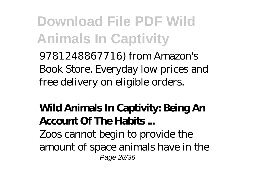9781248867716) from Amazon's Book Store. Everyday low prices and free delivery on eligible orders.

#### **Wild Animals In Captivity: Being An Account Of The Habits ...**

Zoos cannot begin to provide the amount of space animals have in the Page 28/36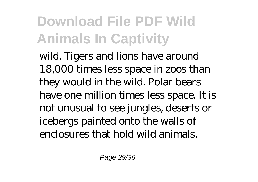wild. Tigers and lions have around 18,000 times less space in zoos than they would in the wild. Polar bears have one million times less space. It is not unusual to see jungles, deserts or icebergs painted onto the walls of enclosures that hold wild animals.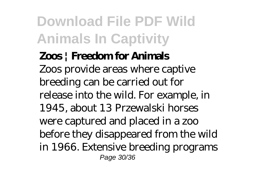**Zoos | Freedom for Animals** Zoos provide areas where captive breeding can be carried out for release into the wild. For example, in 1945, about 13 Przewalski horses were captured and placed in a zoo before they disappeared from the wild in 1966. Extensive breeding programs Page 30/36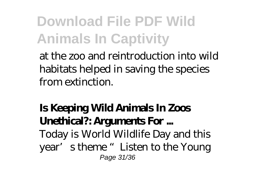at the zoo and reintroduction into wild habitats helped in saving the species from extinction.

#### **Is Keeping Wild Animals In Zoos Unethical?: Arguments For ...**

Today is World Wildlife Day and this year's theme "Listen to the Young Page 31/36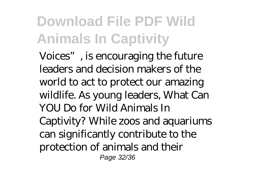Voices", is encouraging the future leaders and decision makers of the world to act to protect our amazing wildlife. As young leaders, What Can YOU Do for Wild Animals In Captivity? While zoos and aquariums can significantly contribute to the protection of animals and their Page 32/36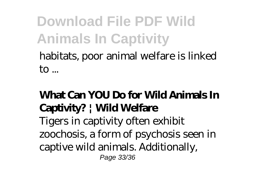#### habitats, poor animal welfare is linked  $\mathsf{to}$ ...

#### **What Can YOU Do for Wild Animals In Captivity? | Wild Welfare**

Tigers in captivity often exhibit zoochosis, a form of psychosis seen in captive wild animals. Additionally, Page 33/36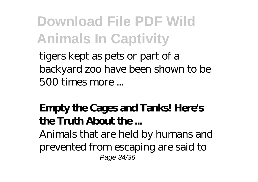tigers kept as pets or part of a backyard zoo have been shown to be 500 times more ...

#### **Empty the Cages and Tanks! Here's the Truth About the ...**

Animals that are held by humans and prevented from escaping are said to Page 34/36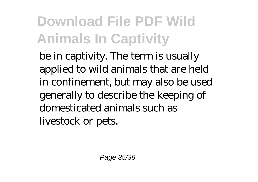be in captivity. The term is usually applied to wild animals that are held in confinement, but may also be used generally to describe the keeping of domesticated animals such as livestock or pets.